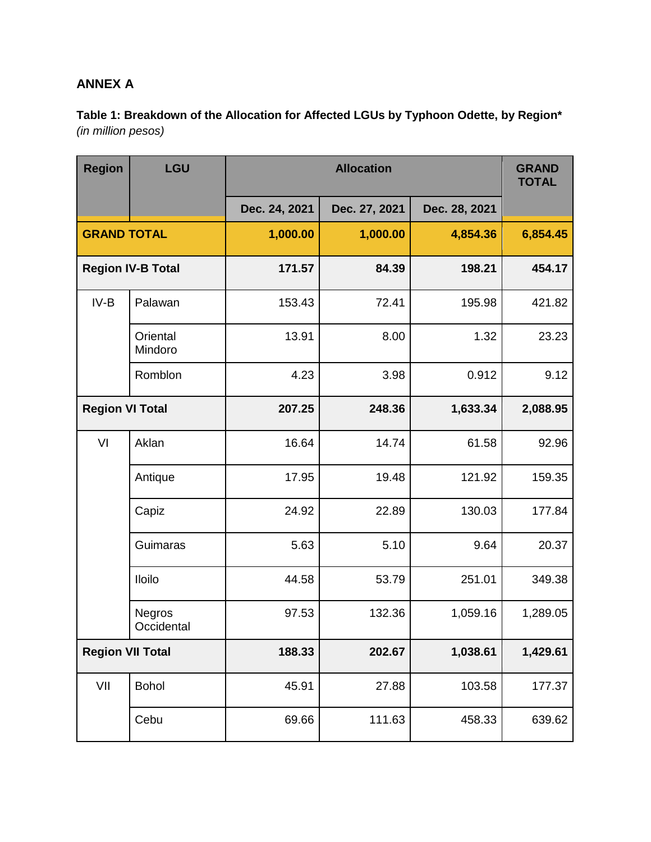## **ANNEX A**

**Table 1: Breakdown of the Allocation for Affected LGUs by Typhoon Odette, by Region\***  *(in million pesos)*

| <b>Region</b>            | LGU                         |               | <b>GRAND</b><br><b>TOTAL</b> |               |          |
|--------------------------|-----------------------------|---------------|------------------------------|---------------|----------|
|                          |                             | Dec. 24, 2021 | Dec. 27, 2021                | Dec. 28, 2021 |          |
| <b>GRAND TOTAL</b>       |                             | 1,000.00      | 1,000.00                     | 4,854.36      | 6,854.45 |
| <b>Region IV-B Total</b> |                             | 171.57        | 84.39                        | 198.21        | 454.17   |
| $IV-B$                   | Palawan                     | 153.43        | 72.41                        | 195.98        | 421.82   |
|                          | Oriental<br>Mindoro         | 13.91         | 8.00                         | 1.32          | 23.23    |
|                          | Romblon                     | 4.23          | 3.98                         | 0.912         | 9.12     |
| <b>Region VI Total</b>   |                             | 207.25        | 248.36                       | 1,633.34      | 2,088.95 |
| VI                       | Aklan                       | 16.64         | 14.74                        | 61.58         | 92.96    |
|                          | Antique                     | 17.95         | 19.48                        | 121.92        | 159.35   |
|                          | Capiz                       | 24.92         | 22.89                        | 130.03        | 177.84   |
|                          | Guimaras                    | 5.63          | 5.10                         | 9.64          | 20.37    |
|                          | <b>Iloilo</b>               | 44.58         | 53.79                        | 251.01        | 349.38   |
|                          | <b>Negros</b><br>Occidental | 97.53         | 132.36                       | 1,059.16      | 1,289.05 |
| <b>Region VII Total</b>  |                             | 188.33        | 202.67                       | 1,038.61      | 1,429.61 |
| VII                      | <b>Bohol</b>                | 45.91         | 27.88                        | 103.58        | 177.37   |
|                          | Cebu                        | 69.66         | 111.63                       | 458.33        | 639.62   |